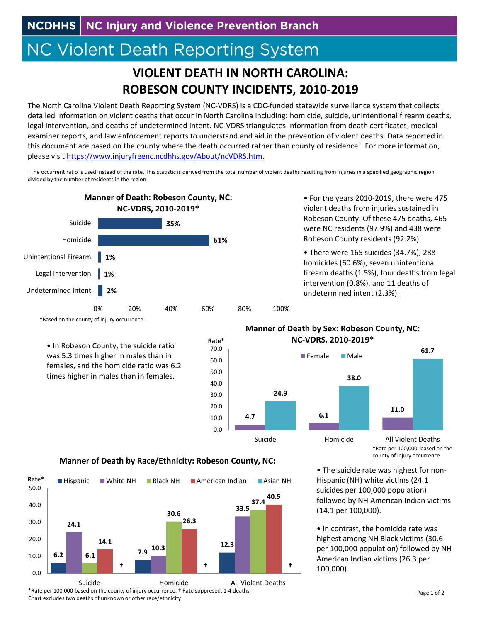**NCDHHS** NC Injury and Violence Prevention Branch

## **NC Violent Death Reporting System**

## **VIOLENT DEATH IN NORTH CAROLINA: ROBESON COUNTY INCIDENTS, 2010‐2019**

The North Carolina Violent Death Reporting System (NC‐VDRS) is a CDC‐funded statewide surveillance system that collects detailed information on violent deaths that occur in North Carolina including: homicide, suicide, unintentional firearm deaths, legal intervention, and deaths of undetermined intent. NC‐VDRS triangulates information from death certificates, medical examiner reports, and law enforcement reports to understand and aid in the prevention of violent deaths. Data reported in this document are based on the county where the death occurred rather than county of residence<sup>1</sup>. For more information, please visit https://www.injuryfreenc.ncdhhs.gov/About/ncVDRS.htm.

<sup>1</sup> The occurrent ratio is used instead of the rate. This statistic is derived from the total number of violent deaths resulting from injuries in a specified geographic region divided by the number of residents in the region.

**Rate\***



• For the years 2010‐2019, there were 475 violent deaths from injuries sustained in Robeson County. Of these 475 deaths, 465 were NC residents (97.9%) and 438 were Robeson County residents (92.2%).

• There were 165 suicides (34.7%), 288 homicides (60.6%), seven unintentional firearm deaths (1.5%), four deaths from legal intervention (0.8%), and 11 deaths of undetermined intent (2.3%).

\*Based on the county of injury occurrence.

• In Robeson County, the suicide ratio was 5.3 times higher in males than in females, and the homicide ratio was 6.2 times higher in males than in females.

## **Manner of Death by Sex: Robeson County, NC: NC‐VDRS, 2010‐2019\***



\*Rate per 100,000, based on the county of injury occurrence.

• The suicide rate was highest for non‐ Hispanic (NH) white victims (24.1 suicides per 100,000 population) followed by NH American Indian victims (14.1 per 100,000).

• In contrast, the homicide rate was highest among NH Black victims (30.6 per 100,000 population) followed by NH American Indian victims (26.3 per 100,000).

## **Manner of Death by Race/Ethnicity: Robeson County, NC:**



\*Rate per 100,000 based on the county of injury occurrence. † Rate suppresed, 1‐4 deaths. Chart excludes two deaths of unknown or other race/ethnicity